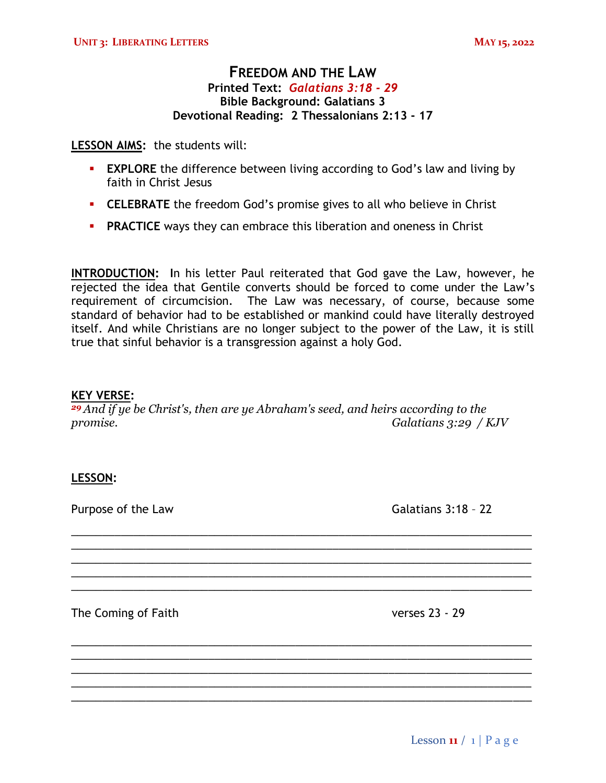# **FREEDOM AND THE LAW Printed Text:** *Galatians 3:18 - 29* **Bible Background: Galatians 3 Devotional Reading: 2 Thessalonians 2:13 - 17**

**LESSON AIMS:** the students will:

- **EXPLORE** the difference between living according to God's law and living by faith in Christ Jesus
- **ELEBRATE** the freedom God's promise gives to all who believe in Christ
- **PRACTICE** ways they can embrace this liberation and oneness in Christ

**INTRODUCTION: I**n his letter Paul reiterated that God gave the Law, however, he rejected the idea that Gentile converts should be forced to come under the Law's requirement of circumcision. The Law was necessary, of course, because some standard of behavior had to be established or mankind could have literally destroyed itself. And while Christians are no longer subject to the power of the Law, it is still true that sinful behavior is a transgression against a holy God.

### **KEY VERSE:**

*<sup>29</sup>And if ye be Christ's, then are ye Abraham's seed, and heirs according to the promise. Galatians 3:29 / KJV*

\_\_\_\_\_\_\_\_\_\_\_\_\_\_\_\_\_\_\_\_\_\_\_\_\_\_\_\_\_\_\_\_\_\_\_\_\_\_\_\_\_\_\_\_\_\_\_\_\_\_\_\_\_\_\_\_\_\_\_\_\_\_\_\_\_\_\_\_\_\_\_\_\_\_ \_\_\_\_\_\_\_\_\_\_\_\_\_\_\_\_\_\_\_\_\_\_\_\_\_\_\_\_\_\_\_\_\_\_\_\_\_\_\_\_\_\_\_\_\_\_\_\_\_\_\_\_\_\_\_\_\_\_\_\_\_\_\_\_\_\_\_\_\_\_\_\_\_\_ \_\_\_\_\_\_\_\_\_\_\_\_\_\_\_\_\_\_\_\_\_\_\_\_\_\_\_\_\_\_\_\_\_\_\_\_\_\_\_\_\_\_\_\_\_\_\_\_\_\_\_\_\_\_\_\_\_\_\_\_\_\_\_\_\_\_\_\_\_\_\_\_\_\_ \_\_\_\_\_\_\_\_\_\_\_\_\_\_\_\_\_\_\_\_\_\_\_\_\_\_\_\_\_\_\_\_\_\_\_\_\_\_\_\_\_\_\_\_\_\_\_\_\_\_\_\_\_\_\_\_\_\_\_\_\_\_\_\_\_\_\_\_\_\_\_\_\_\_ \_\_\_\_\_\_\_\_\_\_\_\_\_\_\_\_\_\_\_\_\_\_\_\_\_\_\_\_\_\_\_\_\_\_\_\_\_\_\_\_\_\_\_\_\_\_\_\_\_\_\_\_\_\_\_\_\_\_\_\_\_\_\_\_\_\_\_\_\_\_\_\_\_\_

\_\_\_\_\_\_\_\_\_\_\_\_\_\_\_\_\_\_\_\_\_\_\_\_\_\_\_\_\_\_\_\_\_\_\_\_\_\_\_\_\_\_\_\_\_\_\_\_\_\_\_\_\_\_\_\_\_\_\_\_\_\_\_\_\_\_\_\_\_\_\_\_\_\_ \_\_\_\_\_\_\_\_\_\_\_\_\_\_\_\_\_\_\_\_\_\_\_\_\_\_\_\_\_\_\_\_\_\_\_\_\_\_\_\_\_\_\_\_\_\_\_\_\_\_\_\_\_\_\_\_\_\_\_\_\_\_\_\_\_\_\_\_\_\_\_\_\_\_ \_\_\_\_\_\_\_\_\_\_\_\_\_\_\_\_\_\_\_\_\_\_\_\_\_\_\_\_\_\_\_\_\_\_\_\_\_\_\_\_\_\_\_\_\_\_\_\_\_\_\_\_\_\_\_\_\_\_\_\_\_\_\_\_\_\_\_\_\_\_\_\_\_\_ \_\_\_\_\_\_\_\_\_\_\_\_\_\_\_\_\_\_\_\_\_\_\_\_\_\_\_\_\_\_\_\_\_\_\_\_\_\_\_\_\_\_\_\_\_\_\_\_\_\_\_\_\_\_\_\_\_\_\_\_\_\_\_\_\_\_\_\_\_\_\_\_\_\_ \_\_\_\_\_\_\_\_\_\_\_\_\_\_\_\_\_\_\_\_\_\_\_\_\_\_\_\_\_\_\_\_\_\_\_\_\_\_\_\_\_\_\_\_\_\_\_\_\_\_\_\_\_\_\_\_\_\_\_\_\_\_\_\_\_\_\_\_\_\_\_\_\_\_

## **LESSON:**

Purpose of the Law Galatians 3:18 - 22

The Coming of Faith verses 23 - 29